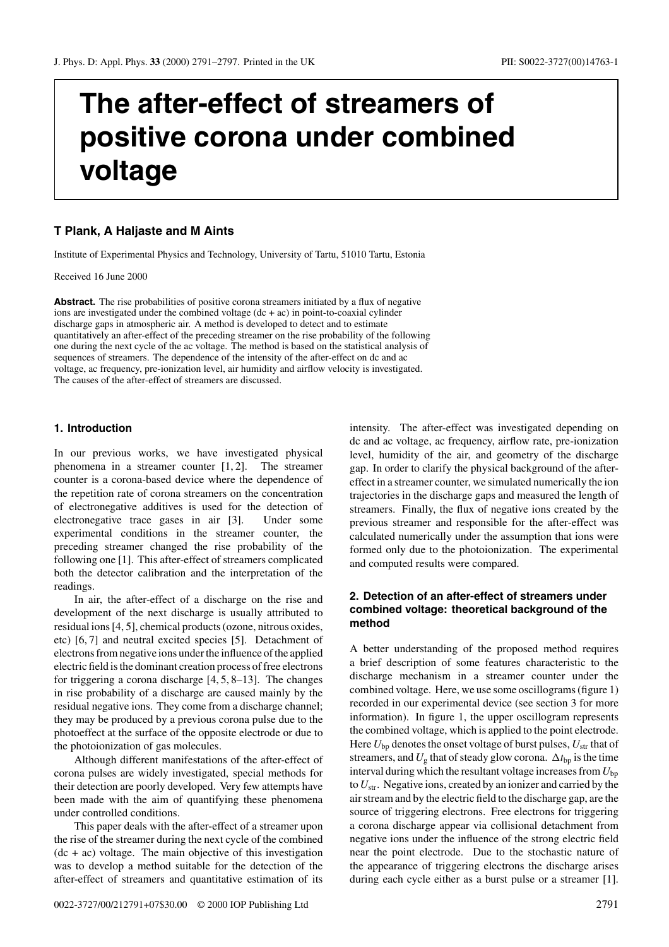# **The after-effect of streamers of positive corona under combined voltage**

## **T Plank, A Haljaste and M Aints**

Institute of Experimental Physics and Technology, University of Tartu, 51010 Tartu, Estonia

Received 16 June 2000

**Abstract.** The rise probabilities of positive corona streamers initiated by a flux of negative ions are investigated under the combined voltage  $(dc + ac)$  in point-to-coaxial cylinder discharge gaps in atmospheric air. A method is developed to detect and to estimate quantitatively an after-effect of the preceding streamer on the rise probability of the following one during the next cycle of the ac voltage. The method is based on the statistical analysis of sequences of streamers. The dependence of the intensity of the after-effect on dc and ac voltage, ac frequency, pre-ionization level, air humidity and airflow velocity is investigated. The causes of the after-effect of streamers are discussed.

#### **1. Introduction**

In our previous works, we have investigated physical phenomena in a streamer counter [1, 2]. The streamer counter is a corona-based device where the dependence of the repetition rate of corona streamers on the concentration of electronegative additives is used for the detection of electronegative trace gases in air [3]. Under some experimental conditions in the streamer counter, the preceding streamer changed the rise probability of the following one [1]. This after-effect of streamers complicated both the detector calibration and the interpretation of the readings.

In air, the after-effect of a discharge on the rise and development of the next discharge is usually attributed to residual ions [4, 5], chemical products (ozone, nitrous oxides, etc) [6, 7] and neutral excited species [5]. Detachment of electrons from negative ions under the influence of the applied electric field is the dominant creation process of free electrons for triggering a corona discharge [4, 5, 8–13]. The changes in rise probability of a discharge are caused mainly by the residual negative ions. They come from a discharge channel; they may be produced by a previous corona pulse due to the photoeffect at the surface of the opposite electrode or due to the photoionization of gas molecules.

Although different manifestations of the after-effect of corona pulses are widely investigated, special methods for their detection are poorly developed. Very few attempts have been made with the aim of quantifying these phenomena under controlled conditions.

This paper deals with the after-effect of a streamer upon the rise of the streamer during the next cycle of the combined  $(dc + ac)$  voltage. The main objective of this investigation was to develop a method suitable for the detection of the after-effect of streamers and quantitative estimation of its intensity. The after-effect was investigated depending on dc and ac voltage, ac frequency, airflow rate, pre-ionization level, humidity of the air, and geometry of the discharge gap. In order to clarify the physical background of the aftereffect in a streamer counter, we simulated numerically the ion trajectories in the discharge gaps and measured the length of streamers. Finally, the flux of negative ions created by the previous streamer and responsible for the after-effect was calculated numerically under the assumption that ions were formed only due to the photoionization. The experimental and computed results were compared.

## **2. Detection of an after-effect of streamers under combined voltage: theoretical background of the method**

A better understanding of the proposed method requires a brief description of some features characteristic to the discharge mechanism in a streamer counter under the combined voltage. Here, we use some oscillograms (figure 1) recorded in our experimental device (see section 3 for more information). In figure 1, the upper oscillogram represents the combined voltage, which is applied to the point electrode. Here  $U_{\text{bn}}$  denotes the onset voltage of burst pulses,  $U_{\text{str}}$  that of streamers, and  $U_{\rm g}$  that of steady glow corona.  $\Delta t_{\rm bp}$  is the time interval during which the resultant voltage increases from  $U_{bp}$ to  $U_{\rm str}$ . Negative ions, created by an ionizer and carried by the air stream and by the electric field to the discharge gap, are the source of triggering electrons. Free electrons for triggering a corona discharge appear via collisional detachment from negative ions under the influence of the strong electric field near the point electrode. Due to the stochastic nature of the appearance of triggering electrons the discharge arises during each cycle either as a burst pulse or a streamer [1].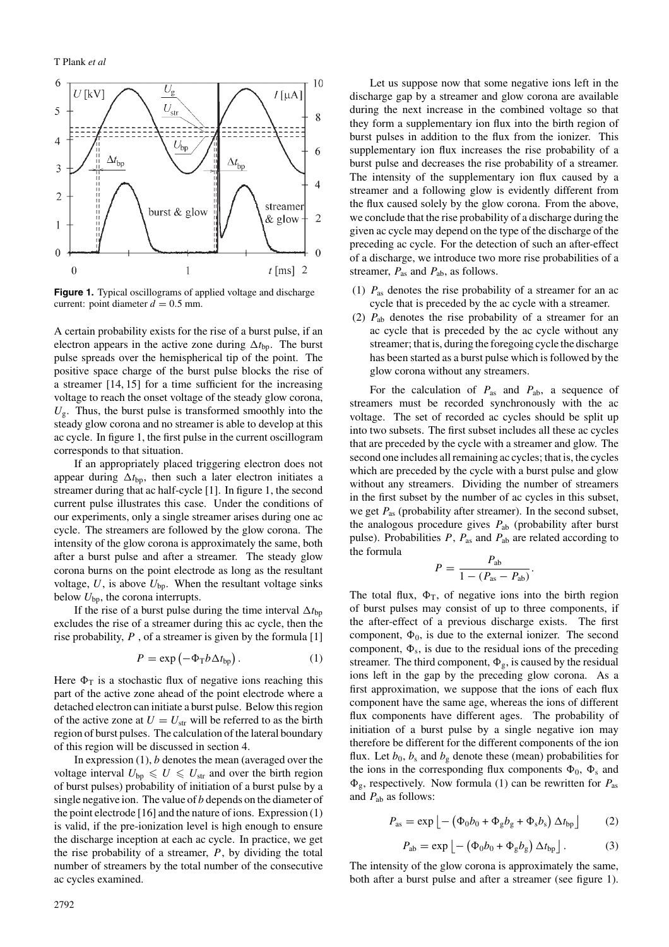

**Figure 1.** Typical oscillograms of applied voltage and discharge current: point diameter  $d = 0.5$  mm.

A certain probability exists for the rise of a burst pulse, if an electron appears in the active zone during  $\Delta t_{\text{bp}}$ . The burst pulse spreads over the hemispherical tip of the point. The positive space charge of the burst pulse blocks the rise of a streamer [14, 15] for a time sufficient for the increasing voltage to reach the onset voltage of the steady glow corona,  $U_{\rm g}$ . Thus, the burst pulse is transformed smoothly into the steady glow corona and no streamer is able to develop at this ac cycle. In figure 1, the first pulse in the current oscillogram corresponds to that situation.

If an appropriately placed triggering electron does not appear during  $\Delta t_{\text{bp}}$ , then such a later electron initiates a streamer during that ac half-cycle [1]. In figure 1, the second current pulse illustrates this case. Under the conditions of our experiments, only a single streamer arises during one ac cycle. The streamers are followed by the glow corona. The intensity of the glow corona is approximately the same, both after a burst pulse and after a streamer. The steady glow corona burns on the point electrode as long as the resultant voltage,  $U$ , is above  $U_{\text{bp}}$ . When the resultant voltage sinks below  $U_{\text{bn}}$ , the corona interrupts.

If the rise of a burst pulse during the time interval  $\Delta t_{bp}$ excludes the rise of a streamer during this ac cycle, then the rise probability,  $P$ , of a streamer is given by the formula [1]

$$
P = \exp(-\Phi_{\rm T} b \Delta t_{\rm bp}) \,. \tag{1}
$$

Here  $\Phi_T$  is a stochastic flux of negative ions reaching this part of the active zone ahead of the point electrode where a detached electron can initiate a burst pulse. Below this region of the active zone at  $U = U_{\text{str}}$  will be referred to as the birth region of burst pulses. The calculation of the lateral boundary of this region will be discussed in section 4.

In expression  $(1)$ , b denotes the mean (averaged over the voltage interval  $U_{\text{bn}} \leq U \leq U_{\text{str}}$  and over the birth region of burst pulses) probability of initiation of a burst pulse by a single negative ion. The value of  $b$  depends on the diameter of the point electrode [16] and the nature of ions. Expression (1) is valid, if the pre-ionization level is high enough to ensure the discharge inception at each ac cycle. In practice, we get the rise probability of a streamer,  $P$ , by dividing the total number of streamers by the total number of the consecutive ac cycles examined.

Let us suppose now that some negative ions left in the discharge gap by a streamer and glow corona are available during the next increase in the combined voltage so that they form a supplementary ion flux into the birth region of burst pulses in addition to the flux from the ionizer. This supplementary ion flux increases the rise probability of a burst pulse and decreases the rise probability of a streamer. The intensity of the supplementary ion flux caused by a streamer and a following glow is evidently different from the flux caused solely by the glow corona. From the above, we conclude that the rise probability of a discharge during the given ac cycle may depend on the type of the discharge of the preceding ac cycle. For the detection of such an after-effect of a discharge, we introduce two more rise probabilities of a streamer,  $P_{\text{as}}$  and  $P_{\text{ab}}$ , as follows.

- (1)  $P_{\text{as}}$  denotes the rise probability of a streamer for an ac cycle that is preceded by the ac cycle with a streamer.
- (2)  $P_{ab}$  denotes the rise probability of a streamer for an ac cycle that is preceded by the ac cycle without any streamer; that is, during the foregoing cycle the discharge has been started as a burst pulse which is followed by the glow corona without any streamers.

For the calculation of  $P_{\text{as}}$  and  $P_{\text{ab}}$ , a sequence of streamers must be recorded synchronously with the ac voltage. The set of recorded ac cycles should be split up into two subsets. The first subset includes all these ac cycles that are preceded by the cycle with a streamer and glow. The second one includes all remaining ac cycles; that is, the cycles which are preceded by the cycle with a burst pulse and glow without any streamers. Dividing the number of streamers in the first subset by the number of ac cycles in this subset, we get  $P_{\text{as}}$  (probability after streamer). In the second subset, the analogous procedure gives  $P_{ab}$  (probability after burst pulse). Probabilities  $P$ ,  $P_{\text{as}}$  and  $P_{\text{ab}}$  are related according to the formula

$$
P = \frac{P_{\rm ab}}{1 - (P_{\rm as} - P_{\rm ab})}.
$$

The total flux,  $\Phi_T$ , of negative ions into the birth region of burst pulses may consist of up to three components, if the after-effect of a previous discharge exists. The first component,  $\Phi_0$ , is due to the external ionizer. The second component,  $\Phi_s$ , is due to the residual ions of the preceding streamer. The third component,  $\Phi_{g}$ , is caused by the residual ions left in the gap by the preceding glow corona. As a first approximation, we suppose that the ions of each flux component have the same age, whereas the ions of different flux components have different ages. The probability of initiation of a burst pulse by a single negative ion may therefore be different for the different components of the ion flux. Let  $b_0$ ,  $b_s$  and  $b_g$  denote these (mean) probabilities for the ions in the corresponding flux components  $\Phi_0$ ,  $\Phi_s$  and  $\Phi_{\rm g}$ , respectively. Now formula (1) can be rewritten for  $P_{\rm as}$ and  $P_{ab}$  as follows:

$$
P_{\rm as} = \exp\left[-\left(\Phi_0 b_0 + \Phi_{\rm g} b_{\rm g} + \Phi_{\rm s} b_{\rm s}\right)\Delta t_{\rm bp}\right] \tag{2}
$$

$$
P_{ab} = \exp \left[ - \left( \Phi_0 b_0 + \Phi_g b_g \right) \Delta t_{bp} \right]. \tag{3}
$$

The intensity of the glow corona is approximately the same, both after a burst pulse and after a streamer (see figure 1).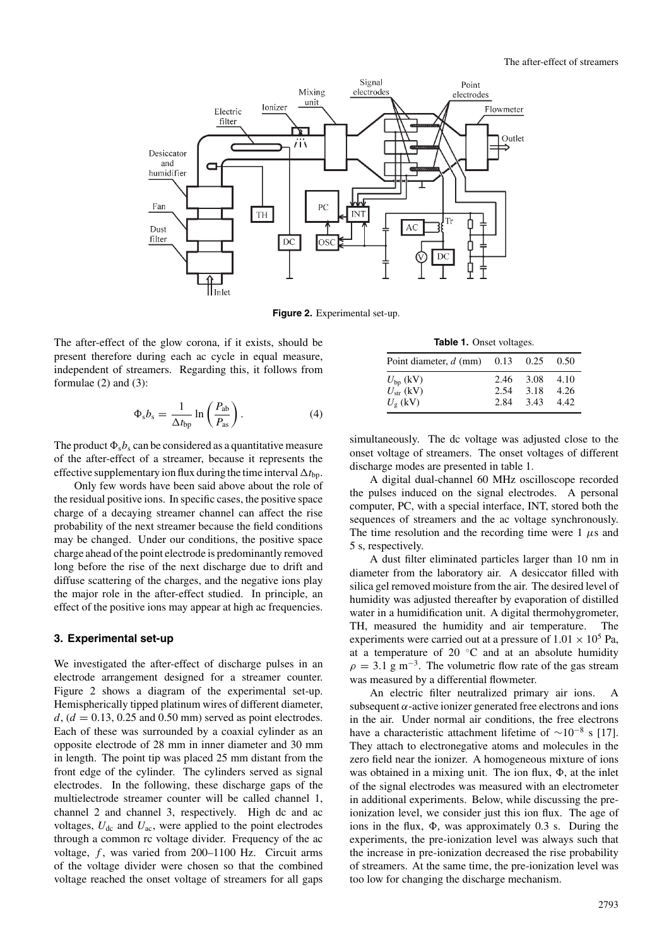

**Figure 2.** Experimental set-up.

The after-effect of the glow corona, if it exists, should be present therefore during each ac cycle in equal measure, independent of streamers. Regarding this, it follows from formulae (2) and (3):

$$
\Phi_{\rm s}b_{\rm s} = \frac{1}{\Delta t_{\rm bp}}\ln\left(\frac{P_{\rm ab}}{P_{\rm as}}\right). \tag{4}
$$

The product  $\Phi_s b_s$  can be considered as a quantitative measure of the after-effect of a streamer, because it represents the effective supplementary ion flux during the time interval  $\Delta t_{\text{bp}}$ .

Only few words have been said above about the role of the residual positive ions. In specific cases, the positive space charge of a decaying streamer channel can affect the rise probability of the next streamer because the field conditions may be changed. Under our conditions, the positive space charge ahead of the point electrode is predominantly removed long before the rise of the next discharge due to drift and diffuse scattering of the charges, and the negative ions play the major role in the after-effect studied. In principle, an effect of the positive ions may appear at high ac frequencies.

#### **3. Experimental set-up**

We investigated the after-effect of discharge pulses in an electrode arrangement designed for a streamer counter. Figure 2 shows a diagram of the experimental set-up. Hemispherically tipped platinum wires of different diameter,  $d$ , ( $d = 0.13$ , 0.25 and 0.50 mm) served as point electrodes. Each of these was surrounded by a coaxial cylinder as an opposite electrode of 28 mm in inner diameter and 30 mm in length. The point tip was placed 25 mm distant from the front edge of the cylinder. The cylinders served as signal electrodes. In the following, these discharge gaps of the multielectrode streamer counter will be called channel 1, channel 2 and channel 3, respectively. High dc and ac voltages,  $U_{dc}$  and  $U_{ac}$ , were applied to the point electrodes through a common rc voltage divider. Frequency of the ac voltage,  $f$ , was varied from 200-1100 Hz. Circuit arms of the voltage divider were chosen so that the combined voltage reached the onset voltage of streamers for all gaps

**Table 1.** Onset voltages.

| Point diameter, $d$ (mm) $0.13$ $0.25$ $0.50$                   |              |                           |                       |
|-----------------------------------------------------------------|--------------|---------------------------|-----------------------|
| $U_{\text{bp}}$ (kV)<br>$U_{\rm str}$ (kV)<br>$U_{\sigma}$ (kV) | 2.54<br>2.84 | 2.46 3.08<br>3.18<br>3.43 | -4.10<br>4.26<br>4.42 |

simultaneously. The dc voltage was adjusted close to the onset voltage of streamers. The onset voltages of different discharge modes are presented in table 1.

A digital dual-channel 60 MHz oscilloscope recorded the pulses induced on the signal electrodes. A personal computer, PC, with a special interface, INT, stored both the sequences of streamers and the ac voltage synchronously. The time resolution and the recording time were  $1 \mu s$  and 5 s, respectively.

A dust filter eliminated particles larger than 10 nm in diameter from the laboratory air. A desiccator filled with silica gel removed moisture from the air. The desired level of humidity was adjusted thereafter by evaporation of distilled water in a humidification unit. A digital thermohygrometer, TH, measured the humidity and air temperature. The experiments were carried out at a pressure of  $1.01 \times 10^5$  Pa, at a temperature of 20  $°C$  and at an absolute humidity  $\rho = 3.1$  g m<sup>-3</sup>. The volumetric flow rate of the gas stream was measured by a differential flowmeter.

An electric filter neutralized primary air ions. A subsequent  $\alpha$ -active ionizer generated free electrons and ions in the air. Under normal air conditions, the free electrons have a characteristic attachment lifetime of  $\sim 10^{-8}$  s [17]. They attach to electronegative atoms and molecules in the zero field near the ionizer. A homogeneous mixture of ions was obtained in a mixing unit. The ion flux,  $\Phi$ , at the inlet of the signal electrodes was measured with an electrometer in additional experiments. Below, while discussing the preionization level, we consider just this ion flux. The age of ions in the flux,  $\Phi$ , was approximately 0.3 s. During the experiments, the pre-ionization level was always such that the increase in pre-ionization decreased the rise probability of streamers. At the same time, the pre-ionization level was too low for changing the discharge mechanism.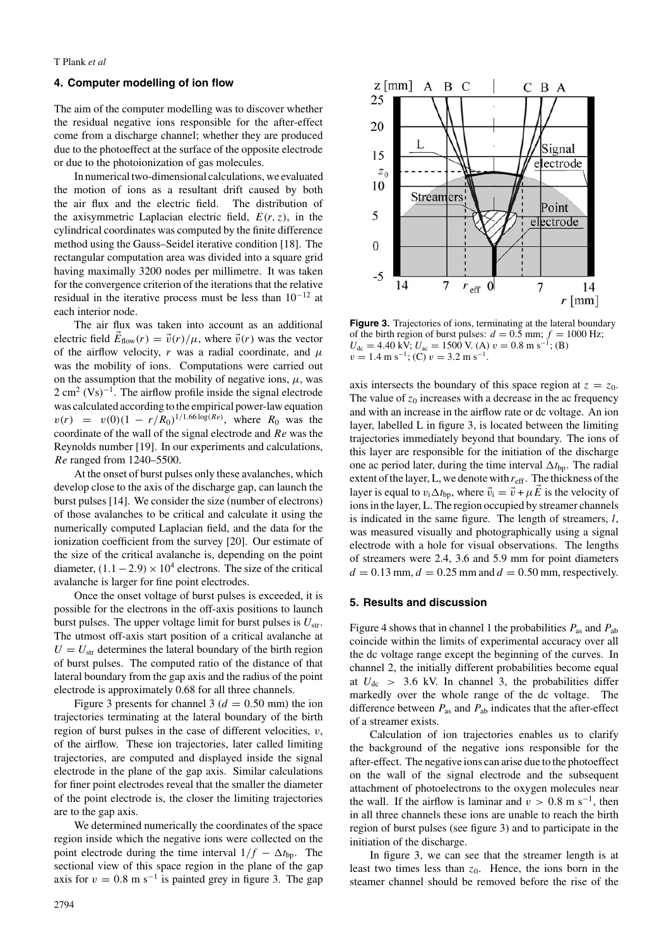#### **4. Computer modelling of ion flow**

The aim of the computer modelling was to discover whether the residual negative ions responsible for the after-effect come from a discharge channel; whether they are produced due to the photoeffect at the surface of the opposite electrode or due to the photoionization of gas molecules.

In numerical two-dimensional calculations, we evaluated the motion of ions as a resultant drift caused by both the air flux and the electric field. The distribution of the axisymmetric Laplacian electric field,  $E(r, z)$ , in the cylindrical coordinates was computed by the finite difference method using the Gauss–Seidel iterative condition [18]. The rectangular computation area was divided into a square grid having maximally 3200 nodes per millimetre. It was taken for the convergence criterion of the iterations that the relative residual in the iterative process must be less than 10−<sup>12</sup> at each interior node.

The air flux was taken into account as an additional electric field  $\vec{E}_{flow}(r) = \vec{v}(r)/\mu$ , where  $\vec{v}(r)$  was the vector of the airflow velocity,  $r$  was a radial coordinate, and  $\mu$ was the mobility of ions. Computations were carried out on the assumption that the mobility of negative ions,  $\mu$ , was  $2 \text{ cm}^2$  (Vs)<sup>-1</sup>. The airflow profile inside the signal electrode was calculated according to the empirical power-law equation  $v(r) = v(0)(1 - r/R_0)^{1/1.66 \log(R_e)}$ , where  $R_0$  was the coordinate of the wall of the signal electrode and Re was the Reynolds number [19]. In our experiments and calculations, Re ranged from 1240–5500.

At the onset of burst pulses only these avalanches, which develop close to the axis of the discharge gap, can launch the burst pulses [14]. We consider the size (number of electrons) of those avalanches to be critical and calculate it using the numerically computed Laplacian field, and the data for the ionization coefficient from the survey [20]. Our estimate of the size of the critical avalanche is, depending on the point diameter,  $(1.1 – 2.9) \times 10^4$  electrons. The size of the critical avalanche is larger for fine point electrodes.

Once the onset voltage of burst pulses is exceeded, it is possible for the electrons in the off-axis positions to launch burst pulses. The upper voltage limit for burst pulses is  $U_{\text{str}}$ . The utmost off-axis start position of a critical avalanche at  $U = U<sub>str</sub>$  determines the lateral boundary of the birth region of burst pulses. The computed ratio of the distance of that lateral boundary from the gap axis and the radius of the point electrode is approximately 0.68 for all three channels.

Figure 3 presents for channel 3 ( $d = 0.50$  mm) the ion trajectories terminating at the lateral boundary of the birth region of burst pulses in the case of different velocities,  $v$ , of the airflow. These ion trajectories, later called limiting trajectories, are computed and displayed inside the signal electrode in the plane of the gap axis. Similar calculations for finer point electrodes reveal that the smaller the diameter of the point electrode is, the closer the limiting trajectories are to the gap axis.

We determined numerically the coordinates of the space region inside which the negative ions were collected on the point electrode during the time interval  $1/f - \Delta t_{\text{bp}}$ . The sectional view of this space region in the plane of the gap axis for  $v = 0.8$  m s<sup>-1</sup> is painted grey in figure 3. The gap



**Figure 3.** Trajectories of ions, terminating at the lateral boundary of the birth region of burst pulses:  $d = 0.5$  mm;  $f = 1000$  Hz;  $U_{\text{dc}} = 4.40 \text{ kV}; U_{\text{ac}} = 1500 \text{ V}.$  (A)  $v = 0.8 \text{ m s}^{-1}$ ; (B)  $v = 1.4 \text{ m s}^{-1}$ ; (C)  $v = 3.2 \text{ m s}^{-1}$ .

axis intersects the boundary of this space region at  $z = z_0$ . The value of  $z_0$  increases with a decrease in the ac frequency and with an increase in the airflow rate or dc voltage. An ion layer, labelled L in figure 3, is located between the limiting trajectories immediately beyond that boundary. The ions of this layer are responsible for the initiation of the discharge one ac period later, during the time interval  $\Delta t_{\text{bp}}$ . The radial extent of the layer, L, we denote with  $r_{\text{eff}}$ . The thickness of the layer is equal to  $v_i \Delta t_{bp}$ , where  $\vec{v}_i = \vec{v} + \mu E$  is the velocity of ions in the layer, L. The region occupied by streamer channels is indicated in the same figure. The length of streamers,  $l$ , was measured visually and photographically using a signal electrode with a hole for visual observations. The lengths of streamers were 2.4, 3.6 and 5.9 mm for point diameters  $d = 0.13$  mm,  $d = 0.25$  mm and  $d = 0.50$  mm, respectively.

#### **5. Results and discussion**

Figure 4 shows that in channel 1 the probabilities  $P_{\text{as}}$  and  $P_{\text{ab}}$ coincide within the limits of experimental accuracy over all the dc voltage range except the beginning of the curves. In channel 2, the initially different probabilities become equal at  $U_{\text{dc}} > 3.6$  kV. In channel 3, the probabilities differ markedly over the whole range of the dc voltage. The difference between  $P_{\text{as}}$  and  $P_{\text{ab}}$  indicates that the after-effect of a streamer exists.

Calculation of ion trajectories enables us to clarify the background of the negative ions responsible for the after-effect. The negative ions can arise due to the photoeffect on the wall of the signal electrode and the subsequent attachment of photoelectrons to the oxygen molecules near the wall. If the airflow is laminar and  $v > 0.8$  m s<sup>-1</sup>, then in all three channels these ions are unable to reach the birth region of burst pulses (see figure 3) and to participate in the initiation of the discharge.

In figure 3, we can see that the streamer length is at least two times less than  $z_0$ . Hence, the ions born in the steamer channel should be removed before the rise of the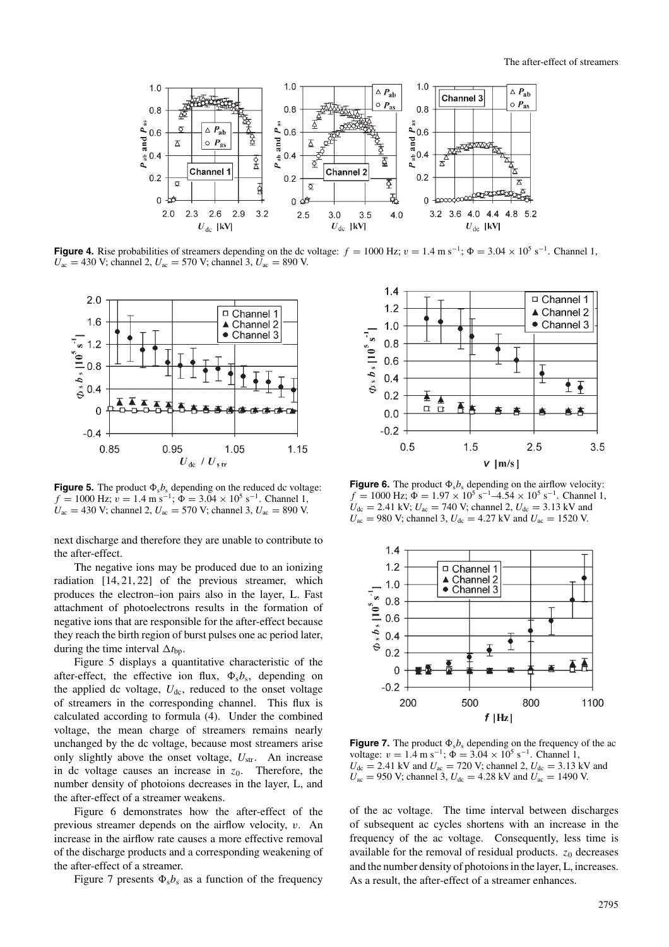

**Figure 4.** Rise probabilities of streamers depending on the dc voltage:  $f = 1000$  Hz;  $v = 1.4$  m s<sup>-1</sup>;  $\Phi = 3.04 \times 10^5$  s<sup>-1</sup>. Channel 1,  $U_{ac} = 430$  V; channel 2,  $U_{ac} = 570$  V; channel 3,  $U_{ac} = 890$  V.



**Figure 5.** The product  $\Phi_s b_s$  depending on the reduced dc voltage:  $f = 1000$  Hz;  $v = 1.4$  m s<sup>-1</sup>;  $\Phi = 3.04 \times 10^5$  s<sup>-1</sup>. Channel 1,  $U_{\text{ac}} = 430 \text{ V}$ ; channel 2,  $U_{\text{ac}} = 570 \text{ V}$ ; channel 3,  $U_{\text{ac}} = 890 \text{ V}$ .

next discharge and therefore they are unable to contribute to the after-effect.

The negative ions may be produced due to an ionizing radiation [14, 21, 22] of the previous streamer, which produces the electron–ion pairs also in the layer, L. Fast attachment of photoelectrons results in the formation of negative ions that are responsible for the after-effect because they reach the birth region of burst pulses one ac period later, during the time interval  $\Delta t_{\text{bp}}$ .

Figure 5 displays a quantitative characteristic of the after-effect, the effective ion flux,  $\Phi_s b_s$ , depending on the applied dc voltage,  $U_{dc}$ , reduced to the onset voltage of streamers in the corresponding channel. This flux is calculated according to formula (4). Under the combined voltage, the mean charge of streamers remains nearly unchanged by the dc voltage, because most streamers arise only slightly above the onset voltage,  $U_{\text{str}}$ . An increase in dc voltage causes an increase in  $z_0$ . Therefore, the number density of photoions decreases in the layer, L, and the after-effect of a streamer weakens.

Figure 6 demonstrates how the after-effect of the previous streamer depends on the airflow velocity, v. An increase in the airflow rate causes a more effective removal of the discharge products and a corresponding weakening of the after-effect of a streamer.

Figure 7 presents  $\Phi_s b_s$  as a function of the frequency



**Figure 6.** The product  $\Phi_s b_s$  depending on the airflow velocity:  $f = 1000$  Hz;  $\Phi = 1.97 \times 10^5$  s<sup>-1</sup>-4.54 × 10<sup>5</sup> s<sup>-1</sup>. Channel 1,  $U_{\text{dc}} = 2.41 \text{ kV}; U_{\text{ac}} = 740 \text{ V}; \text{channel } 2, U_{\text{dc}} = 3.13 \text{ kV}$  and  $U_{ac}$  = 980 V; channel 3,  $U_{dc}$  = 4.27 kV and  $U_{ac}$  = 1520 V.



**Figure 7.** The product  $\Phi_s b_s$  depending on the frequency of the ac voltage:  $v = 1.4$  m s<sup>-1</sup>;  $\Phi = 3.04 \times 10^5$  s<sup>-1</sup>. Channel 1,  $U_{\text{dc}} = 2.41 \text{ kV}$  and  $U_{\text{ac}} = 720 \text{ V}$ ; channel 2,  $U_{\text{dc}} = 3.13 \text{ kV}$  and  $U_{ac} = 950$  V; channel 3,  $U_{dc} = 4.28$  kV and  $U_{ac} = 1490$  V.

of the ac voltage. The time interval between discharges of subsequent ac cycles shortens with an increase in the frequency of the ac voltage. Consequently, less time is available for the removal of residual products.  $z_0$  decreases and the number density of photoions in the layer, L, increases. As a result, the after-effect of a streamer enhances.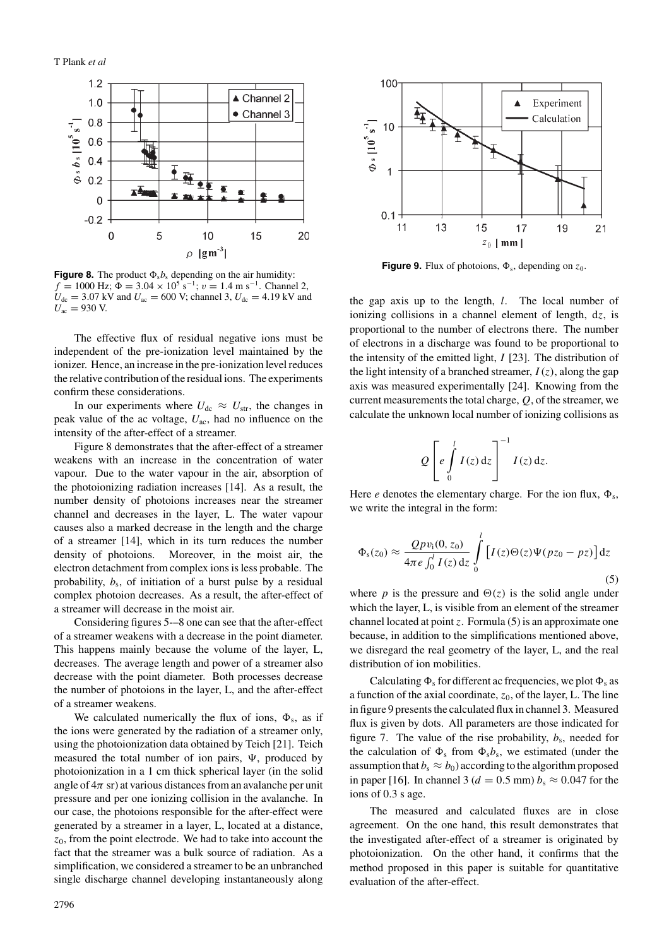

**Figure 8.** The product  $\Phi_s b_s$  depending on the air humidity:  $f = 1000$  Hz;  $\Phi = 3.04 \times 10^5$  s<sup>-1</sup>;  $v = 1.4$  m s<sup>-1</sup>. Channel 2,  $U_{\text{dc}} = 3.07 \text{ kV}$  and  $U_{\text{ac}} = 600 \text{ V}$ ; channel 3,  $U_{\text{dc}} = 4.19 \text{ kV}$  and  $U_{\text{ac}} = 930 \text{ V}$ .

The effective flux of residual negative ions must be independent of the pre-ionization level maintained by the ionizer. Hence, an increase in the pre-ionization level reduces the relative contribution of the residual ions. The experiments confirm these considerations.

In our experiments where  $U_{\text{dc}} \approx U_{\text{str}}$ , the changes in peak value of the ac voltage,  $U_{ac}$ , had no influence on the intensity of the after-effect of a streamer.

Figure 8 demonstrates that the after-effect of a streamer weakens with an increase in the concentration of water vapour. Due to the water vapour in the air, absorption of the photoionizing radiation increases [14]. As a result, the number density of photoions increases near the streamer channel and decreases in the layer, L. The water vapour causes also a marked decrease in the length and the charge of a streamer [14], which in its turn reduces the number density of photoions. Moreover, in the moist air, the electron detachment from complex ions is less probable. The probability,  $b_s$ , of initiation of a burst pulse by a residual complex photoion decreases. As a result, the after-effect of a streamer will decrease in the moist air.

Considering figures 5-–8 one can see that the after-effect of a streamer weakens with a decrease in the point diameter. This happens mainly because the volume of the layer, L, decreases. The average length and power of a streamer also decrease with the point diameter. Both processes decrease the number of photoions in the layer, L, and the after-effect of a streamer weakens.

We calculated numerically the flux of ions,  $\Phi_s$ , as if the ions were generated by the radiation of a streamer only, using the photoionization data obtained by Teich [21]. Teich measured the total number of ion pairs,  $\Psi$ , produced by photoionization in a 1 cm thick spherical layer (in the solid angle of  $4\pi$  sr) at various distances from an avalanche per unit pressure and per one ionizing collision in the avalanche. In our case, the photoions responsible for the after-effect were generated by a streamer in a layer, L, located at a distance,  $z_0$ , from the point electrode. We had to take into account the fact that the streamer was a bulk source of radiation. As a simplification, we considered a streamer to be an unbranched single discharge channel developing instantaneously along



**Figure 9.** Flux of photoions,  $\Phi_s$ , depending on  $z_0$ .

the gap axis up to the length,  $l$ . The local number of ionizing collisions in a channel element of length, dz, is proportional to the number of electrons there. The number of electrons in a discharge was found to be proportional to the intensity of the emitted light,  $I$  [23]. The distribution of the light intensity of a branched streamer,  $I(z)$ , along the gap axis was measured experimentally [24]. Knowing from the current measurements the total charge,  $Q$ , of the streamer, we calculate the unknown local number of ionizing collisions as

$$
Q\left[e\int\limits_{0}^{l}I(z)\,\mathrm{d}z\right]^{-1}I(z)\,\mathrm{d}z.
$$

Here *e* denotes the elementary charge. For the ion flux,  $\Phi_s$ , we write the integral in the form:

$$
\Phi_s(z_0) \approx \frac{Qpv_1(0, z_0)}{4\pi e \int_0^l I(z) dz} \int_0^l [I(z)\Theta(z)\Psi(pz_0 - pz)] dz
$$
\n(5)

where p is the pressure and  $\Theta(z)$  is the solid angle under which the layer, L, is visible from an element of the streamer channel located at point z. Formula  $(5)$  is an approximate one because, in addition to the simplifications mentioned above, we disregard the real geometry of the layer, L, and the real distribution of ion mobilities.

Calculating  $\Phi_s$  for different ac frequencies, we plot  $\Phi_s$  as a function of the axial coordinate,  $z<sub>0</sub>$ , of the layer, L. The line in figure 9 presents the calculated flux in channel 3. Measured flux is given by dots. All parameters are those indicated for figure 7. The value of the rise probability,  $b_s$ , needed for the calculation of  $\Phi_s$  from  $\Phi_s b_s$ , we estimated (under the assumption that  $b_s \approx b_0$ ) according to the algorithm proposed in paper [16]. In channel 3 ( $d = 0.5$  mm)  $b_s \approx 0.047$  for the ions of 0.3 s age.

The measured and calculated fluxes are in close agreement. On the one hand, this result demonstrates that the investigated after-effect of a streamer is originated by photoionization. On the other hand, it confirms that the method proposed in this paper is suitable for quantitative evaluation of the after-effect.